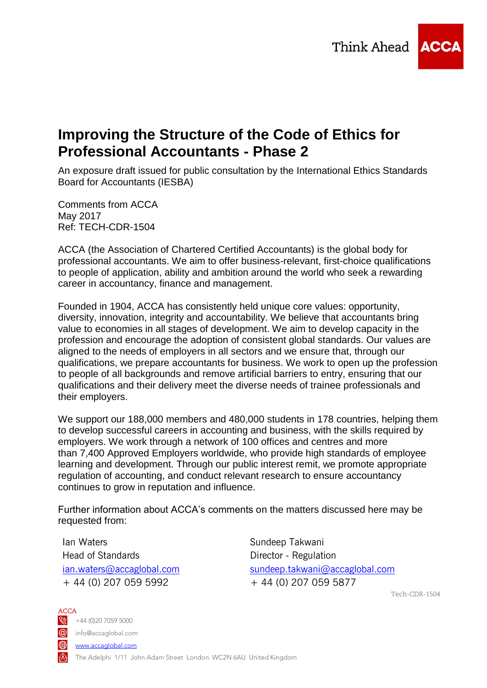

# **Improving the Structure of the Code of Ethics for Professional Accountants - Phase 2**

An exposure draft issued for public consultation by the International Ethics Standards Board for Accountants (IESBA)

Comments from ACCA May 2017 Ref: TECH-CDR-1504

ACCA (the Association of Chartered Certified Accountants) is the global body for professional accountants. We aim to offer business-relevant, first-choice qualifications to people of application, ability and ambition around the world who seek a rewarding career in accountancy, finance and management.

Founded in 1904, ACCA has consistently held unique core values: opportunity, diversity, innovation, integrity and accountability. We believe that accountants bring value to economies in all stages of development. We aim to develop capacity in the profession and encourage the adoption of consistent global standards. Our values are aligned to the needs of employers in all sectors and we ensure that, through our qualifications, we prepare accountants for business. We work to open up the profession to people of all backgrounds and remove artificial barriers to entry, ensuring that our qualifications and their delivery meet the diverse needs of trainee professionals and their employers.

We support our 188,000 members and 480,000 students in 178 countries, helping them to develop successful careers in accounting and business, with the skills required by employers. We work through a network of 100 offices and centres and more than 7,400 Approved Employers worldwide, who provide high standards of employee learning and development. Through our public interest remit, we promote appropriate regulation of accounting, and conduct relevant research to ensure accountancy continues to grow in reputation and influence.

Further information about ACCA's comments on the matters discussed here may be requested from:

Ian Waters Head of Standards [ian.waters@accaglobal.com](mailto:ian.waters@accaglobal.com) + 44 (0) 207 059 5992

Sundeep Takwani Director - Regulation [sundeep.takwani@accaglobal.com](mailto:sundeep.takwani@accaglobal.com) + 44 (0) 207 059 5877

Tech-CDR-1504

ACCA  $\bigotimes$  +44 (0)20 7059 5000 info@accaglobal.com www.accaglobal.com The Adelphi 1/11 John Adam Street London WC2N 6AU United Kingdom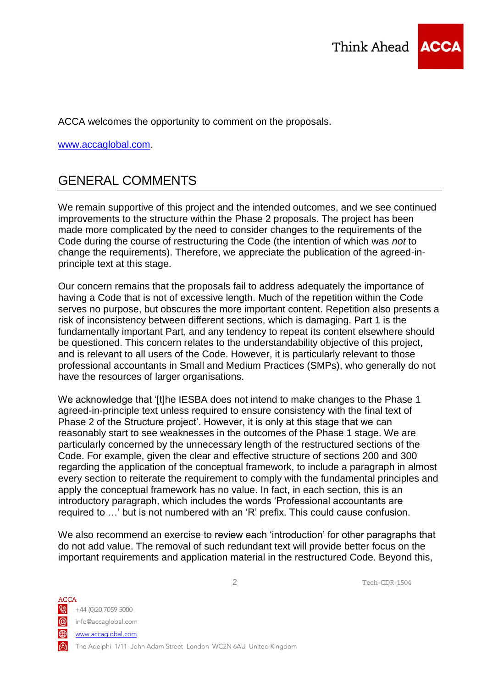

ACCA welcomes the opportunity to comment on the proposals.

[www.accaglobal.com.](http://www.accaglobal.com/)

# GENERAL COMMENTS

We remain supportive of this project and the intended outcomes, and we see continued improvements to the structure within the Phase 2 proposals. The project has been made more complicated by the need to consider changes to the requirements of the Code during the course of restructuring the Code (the intention of which was *not* to change the requirements). Therefore, we appreciate the publication of the agreed-inprinciple text at this stage.

Our concern remains that the proposals fail to address adequately the importance of having a Code that is not of excessive length. Much of the repetition within the Code serves no purpose, but obscures the more important content. Repetition also presents a risk of inconsistency between different sections, which is damaging. Part 1 is the fundamentally important Part, and any tendency to repeat its content elsewhere should be questioned. This concern relates to the understandability objective of this project, and is relevant to all users of the Code. However, it is particularly relevant to those professional accountants in Small and Medium Practices (SMPs), who generally do not have the resources of larger organisations.

We acknowledge that '[t]he IESBA does not intend to make changes to the Phase 1 agreed-in-principle text unless required to ensure consistency with the final text of Phase 2 of the Structure project'. However, it is only at this stage that we can reasonably start to see weaknesses in the outcomes of the Phase 1 stage. We are particularly concerned by the unnecessary length of the restructured sections of the Code. For example, given the clear and effective structure of sections 200 and 300 regarding the application of the conceptual framework, to include a paragraph in almost every section to reiterate the requirement to comply with the fundamental principles and apply the conceptual framework has no value. In fact, in each section, this is an introductory paragraph, which includes the words 'Professional accountants are required to …' but is not numbered with an 'R' prefix. This could cause confusion.

We also recommend an exercise to review each 'introduction' for other paragraphs that do not add value. The removal of such redundant text will provide better focus on the important requirements and application material in the restructured Code. Beyond this,

ACCA  $\bigotimes$  +44 (0)20 7059 5000 info@accaglobal.com **⊕** www.accaglobal.com The Adelphi 1/11 John Adam Street London WC2N 6AU United Kingdom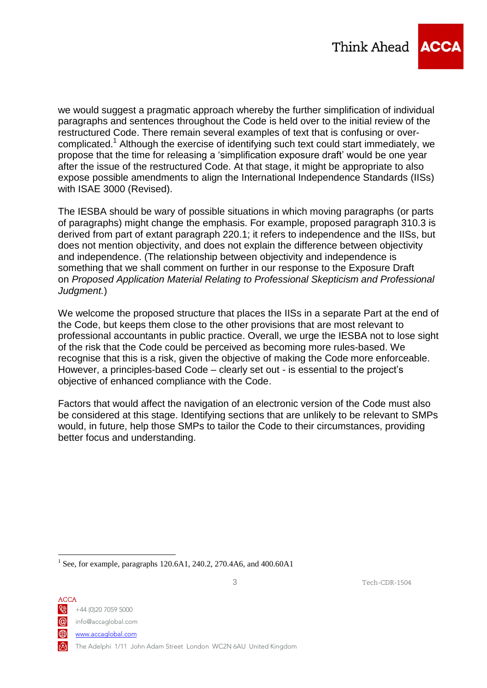

we would suggest a pragmatic approach whereby the further simplification of individual paragraphs and sentences throughout the Code is held over to the initial review of the restructured Code. There remain several examples of text that is confusing or overcomplicated.<sup>1</sup> Although the exercise of identifying such text could start immediately, we propose that the time for releasing a 'simplification exposure draft' would be one year after the issue of the restructured Code. At that stage, it might be appropriate to also expose possible amendments to align the International Independence Standards (IISs) with ISAE 3000 (Revised).

The IESBA should be wary of possible situations in which moving paragraphs (or parts of paragraphs) might change the emphasis. For example, proposed paragraph 310.3 is derived from part of extant paragraph 220.1; it refers to independence and the IISs, but does not mention objectivity, and does not explain the difference between objectivity and independence. (The relationship between objectivity and independence is something that we shall comment on further in our response to the Exposure Draft on *Proposed Application Material Relating to Professional Skepticism and Professional Judgment.*)

We welcome the proposed structure that places the IISs in a separate Part at the end of the Code, but keeps them close to the other provisions that are most relevant to professional accountants in public practice. Overall, we urge the IESBA not to lose sight of the risk that the Code could be perceived as becoming more rules-based. We recognise that this is a risk, given the objective of making the Code more enforceable. However, a principles-based Code – clearly set out - is essential to the project's objective of enhanced compliance with the Code.

Factors that would affect the navigation of an electronic version of the Code must also be considered at this stage. Identifying sections that are unlikely to be relevant to SMPs would, in future, help those SMPs to tailor the Code to their circumstances, providing better focus and understanding.

ACCA  $\frac{1}{2}$  +44 (0)20 7059 5000 info@accaglobal.com **⊕** www.accaglobal.com The Adelphi 1/11 John Adam Street London WC2N 6AU United Kingdom

<u>.</u>

<sup>&</sup>lt;sup>1</sup> See, for example, paragraphs 120.6A1, 240.2, 270.4A6, and 400.60A1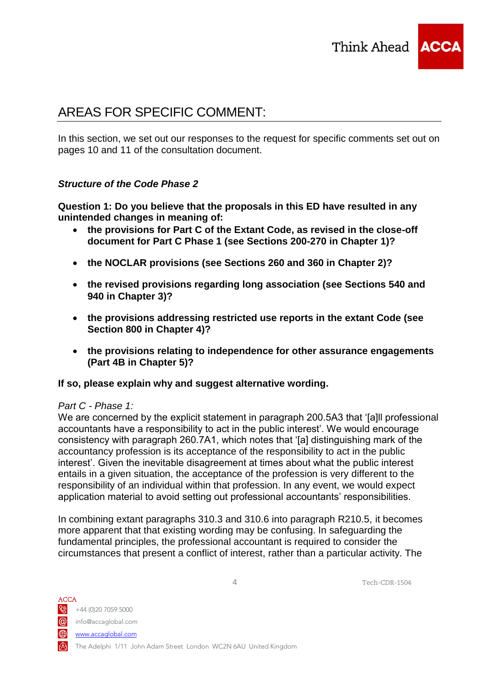

# AREAS FOR SPECIFIC COMMENT:

In this section, we set out our responses to the request for specific comments set out on pages 10 and 11 of the consultation document.

# *Structure of the Code Phase 2*

**Question 1: Do you believe that the proposals in this ED have resulted in any unintended changes in meaning of:**

- **the provisions for Part C of the Extant Code, as revised in the close-off document for Part C Phase 1 (see Sections 200-270 in Chapter 1)?**
- **the NOCLAR provisions (see Sections 260 and 360 in Chapter 2)?**
- **the revised provisions regarding long association (see Sections 540 and 940 in Chapter 3)?**
- **the provisions addressing restricted use reports in the extant Code (see Section 800 in Chapter 4)?**
- **the provisions relating to independence for other assurance engagements (Part 4B in Chapter 5)?**

## **If so, please explain why and suggest alternative wording.**

## *Part C - Phase 1:*

We are concerned by the explicit statement in paragraph 200.5A3 that '[a]ll professional accountants have a responsibility to act in the public interest'. We would encourage consistency with paragraph 260.7A1, which notes that '[a] distinguishing mark of the accountancy profession is its acceptance of the responsibility to act in the public interest'. Given the inevitable disagreement at times about what the public interest entails in a given situation, the acceptance of the profession is very different to the responsibility of an individual within that profession. In any event, we would expect application material to avoid setting out professional accountants' responsibilities.

In combining extant paragraphs 310.3 and 310.6 into paragraph R210.5, it becomes more apparent that that existing wording may be confusing. In safeguarding the fundamental principles, the professional accountant is required to consider the circumstances that present a conflict of interest, rather than a particular activity. The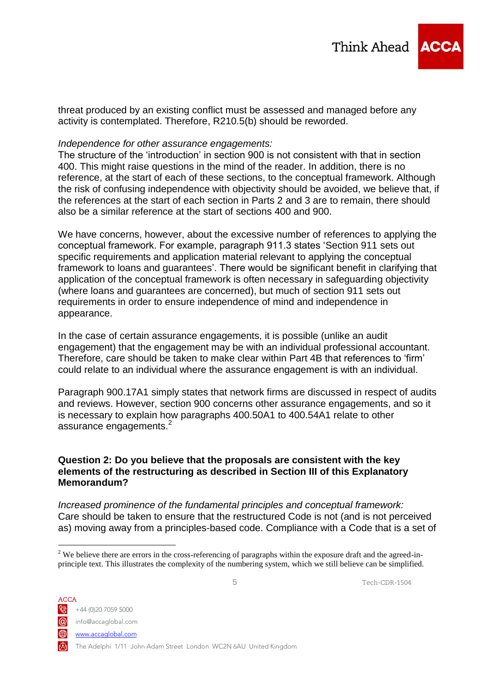

#### *Independence for other assurance engagements:*

The structure of the 'introduction' in section 900 is not consistent with that in section 400. This might raise questions in the mind of the reader. In addition, there is no reference, at the start of each of these sections, to the conceptual framework. Although the risk of confusing independence with objectivity should be avoided, we believe that, if the references at the start of each section in Parts 2 and 3 are to remain, there should also be a similar reference at the start of sections 400 and 900.

We have concerns, however, about the excessive number of references to applying the conceptual framework. For example, paragraph 911.3 states 'Section 911 sets out specific requirements and application material relevant to applying the conceptual framework to loans and guarantees'. There would be significant benefit in clarifying that application of the conceptual framework is often necessary in safeguarding objectivity (where loans and guarantees are concerned), but much of section 911 sets out requirements in order to ensure independence of mind and independence in appearance.

In the case of certain assurance engagements, it is possible (unlike an audit engagement) that the engagement may be with an individual professional accountant. Therefore, care should be taken to make clear within Part 4B that references to 'firm' could relate to an individual where the assurance engagement is with an individual.

Paragraph 900.17A1 simply states that network firms are discussed in respect of audits and reviews. However, section 900 concerns other assurance engagements, and so it is necessary to explain how paragraphs 400.50A1 to 400.54A1 relate to other assurance engagements.<sup>2</sup>

#### **Question 2: Do you believe that the proposals are consistent with the key elements of the restructuring as described in Section III of this Explanatory Memorandum?**

*Increased prominence of the fundamental principles and conceptual framework:* Care should be taken to ensure that the restructured Code is not (and is not perceived as) moving away from a principles-based code. Compliance with a Code that is a set of

www.accaglobal.com

1

The Adelphi 1/11 John Adam Street London WC2N 6AU United Kingdom

<sup>&</sup>lt;sup>2</sup> We believe there are errors in the cross-referencing of paragraphs within the exposure draft and the agreed-inprinciple text. This illustrates the complexity of the numbering system, which we still believe can be simplified.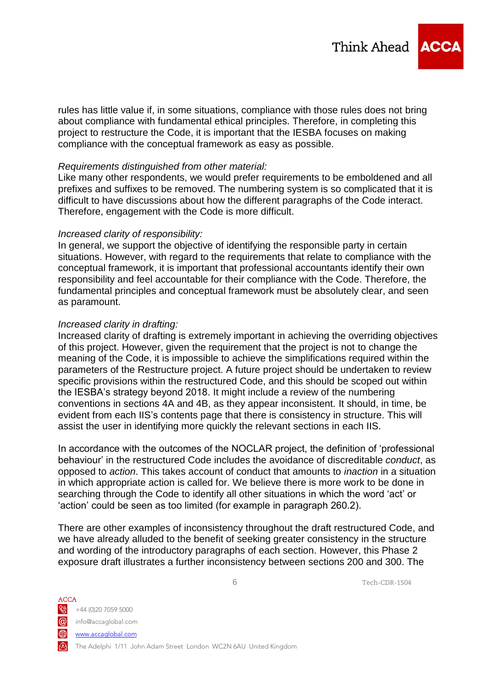

rules has little value if, in some situations, compliance with those rules does not bring about compliance with fundamental ethical principles. Therefore, in completing this project to restructure the Code, it is important that the IESBA focuses on making compliance with the conceptual framework as easy as possible.

#### *Requirements distinguished from other material:*

Like many other respondents, we would prefer requirements to be emboldened and all prefixes and suffixes to be removed. The numbering system is so complicated that it is difficult to have discussions about how the different paragraphs of the Code interact. Therefore, engagement with the Code is more difficult.

#### *Increased clarity of responsibility:*

In general, we support the objective of identifying the responsible party in certain situations. However, with regard to the requirements that relate to compliance with the conceptual framework, it is important that professional accountants identify their own responsibility and feel accountable for their compliance with the Code. Therefore, the fundamental principles and conceptual framework must be absolutely clear, and seen as paramount.

#### *Increased clarity in drafting:*

Increased clarity of drafting is extremely important in achieving the overriding objectives of this project. However, given the requirement that the project is not to change the meaning of the Code, it is impossible to achieve the simplifications required within the parameters of the Restructure project. A future project should be undertaken to review specific provisions within the restructured Code, and this should be scoped out within the IESBA's strategy beyond 2018. It might include a review of the numbering conventions in sections 4A and 4B, as they appear inconsistent. It should, in time, be evident from each IIS's contents page that there is consistency in structure. This will assist the user in identifying more quickly the relevant sections in each IIS.

In accordance with the outcomes of the NOCLAR project, the definition of 'professional behaviour' in the restructured Code includes the avoidance of discreditable *conduct*, as opposed to *action*. This takes account of conduct that amounts to *inaction* in a situation in which appropriate action is called for. We believe there is more work to be done in searching through the Code to identify all other situations in which the word 'act' or 'action' could be seen as too limited (for example in paragraph 260.2).

There are other examples of inconsistency throughout the draft restructured Code, and we have already alluded to the benefit of seeking greater consistency in the structure and wording of the introductory paragraphs of each section. However, this Phase 2 exposure draft illustrates a further inconsistency between sections 200 and 300. The

ACCA  $\frac{1}{2}$  +44 (0)20 7059 5000 info@accaglobal.com www.accaglobal.com The Adelphi 1/11 John Adam Street London WC2N 6AU United Kingdom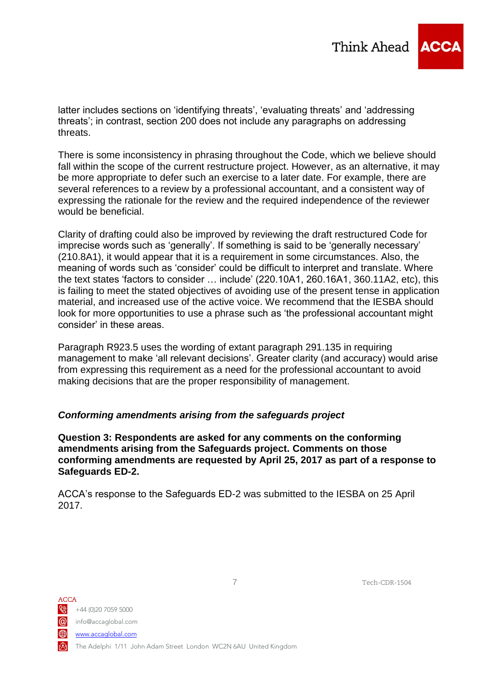

latter includes sections on 'identifying threats', 'evaluating threats' and 'addressing threats'; in contrast, section 200 does not include any paragraphs on addressing threats.

There is some inconsistency in phrasing throughout the Code, which we believe should fall within the scope of the current restructure project. However, as an alternative, it may be more appropriate to defer such an exercise to a later date. For example, there are several references to a review by a professional accountant, and a consistent way of expressing the rationale for the review and the required independence of the reviewer would be beneficial.

Clarity of drafting could also be improved by reviewing the draft restructured Code for imprecise words such as 'generally'. If something is said to be 'generally necessary' (210.8A1), it would appear that it is a requirement in some circumstances. Also, the meaning of words such as 'consider' could be difficult to interpret and translate. Where the text states 'factors to consider … include' (220.10A1, 260.16A1, 360.11A2, etc), this is failing to meet the stated objectives of avoiding use of the present tense in application material, and increased use of the active voice. We recommend that the IESBA should look for more opportunities to use a phrase such as 'the professional accountant might consider' in these areas.

Paragraph R923.5 uses the wording of extant paragraph 291.135 in requiring management to make 'all relevant decisions'. Greater clarity (and accuracy) would arise from expressing this requirement as a need for the professional accountant to avoid making decisions that are the proper responsibility of management.

## *Conforming amendments arising from the safeguards project*

**Question 3: Respondents are asked for any comments on the conforming amendments arising from the Safeguards project. Comments on those conforming amendments are requested by April 25, 2017 as part of a response to Safeguards ED-2.**

ACCA's response to the Safeguards ED-2 was submitted to the IESBA on 25 April 2017.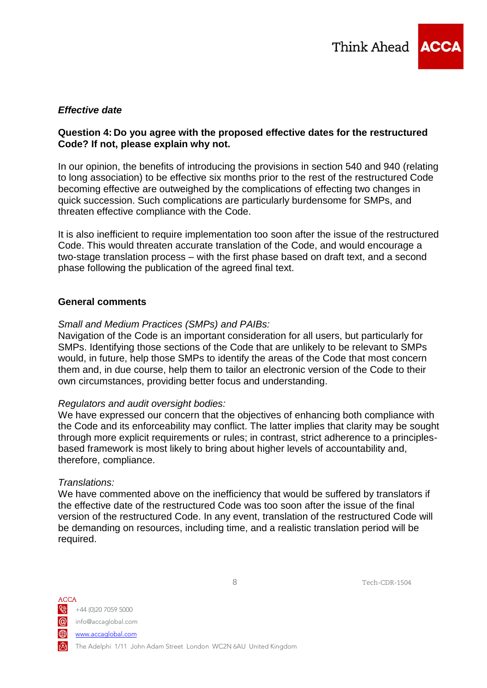

### *Effective date*

#### **Question 4: Do you agree with the proposed effective dates for the restructured Code? If not, please explain why not.**

In our opinion, the benefits of introducing the provisions in section 540 and 940 (relating to long association) to be effective six months prior to the rest of the restructured Code becoming effective are outweighed by the complications of effecting two changes in quick succession. Such complications are particularly burdensome for SMPs, and threaten effective compliance with the Code.

It is also inefficient to require implementation too soon after the issue of the restructured Code. This would threaten accurate translation of the Code, and would encourage a two-stage translation process – with the first phase based on draft text, and a second phase following the publication of the agreed final text.

#### **General comments**

#### *Small and Medium Practices (SMPs) and PAIBs:*

Navigation of the Code is an important consideration for all users, but particularly for SMPs. Identifying those sections of the Code that are unlikely to be relevant to SMPs would, in future, help those SMPs to identify the areas of the Code that most concern them and, in due course, help them to tailor an electronic version of the Code to their own circumstances, providing better focus and understanding.

#### *Regulators and audit oversight bodies:*

We have expressed our concern that the objectives of enhancing both compliance with the Code and its enforceability may conflict. The latter implies that clarity may be sought through more explicit requirements or rules; in contrast, strict adherence to a principlesbased framework is most likely to bring about higher levels of accountability and, therefore, compliance.

#### *Translations:*

We have commented above on the inefficiency that would be suffered by translators if the effective date of the restructured Code was too soon after the issue of the final version of the restructured Code. In any event, translation of the restructured Code will be demanding on resources, including time, and a realistic translation period will be required.